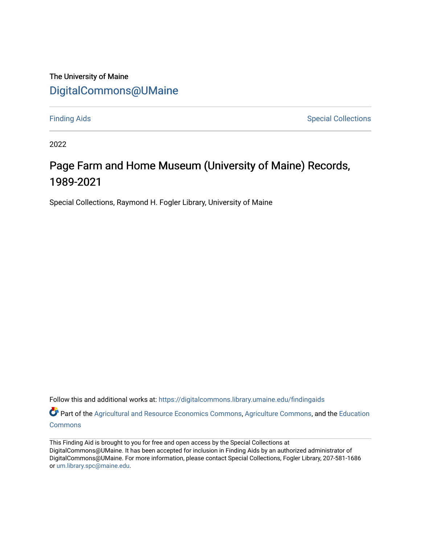#### The University of Maine [DigitalCommons@UMaine](https://digitalcommons.library.umaine.edu/)

[Finding Aids](https://digitalcommons.library.umaine.edu/findingaids) **Special Collections** 

2022

## Page Farm and Home Museum (University of Maine) Records, 1989-2021

Special Collections, Raymond H. Fogler Library, University of Maine

Follow this and additional works at: [https://digitalcommons.library.umaine.edu/findingaids](https://digitalcommons.library.umaine.edu/findingaids?utm_source=digitalcommons.library.umaine.edu%2Ffindingaids%2F525&utm_medium=PDF&utm_campaign=PDFCoverPages)

Part of the [Agricultural and Resource Economics Commons,](http://network.bepress.com/hgg/discipline/317?utm_source=digitalcommons.library.umaine.edu%2Ffindingaids%2F525&utm_medium=PDF&utm_campaign=PDFCoverPages) [Agriculture Commons](http://network.bepress.com/hgg/discipline/1076?utm_source=digitalcommons.library.umaine.edu%2Ffindingaids%2F525&utm_medium=PDF&utm_campaign=PDFCoverPages), and the Education [Commons](http://network.bepress.com/hgg/discipline/784?utm_source=digitalcommons.library.umaine.edu%2Ffindingaids%2F525&utm_medium=PDF&utm_campaign=PDFCoverPages)

This Finding Aid is brought to you for free and open access by the Special Collections at DigitalCommons@UMaine. It has been accepted for inclusion in Finding Aids by an authorized administrator of DigitalCommons@UMaine. For more information, please contact Special Collections, Fogler Library, 207-581-1686 or [um.library.spc@maine.edu](mailto:um.library.spc@maine.edu).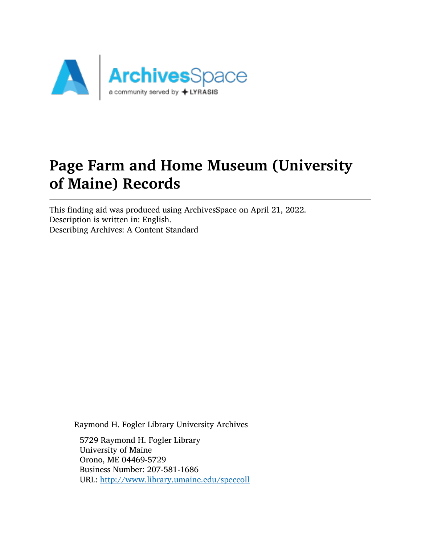

# Page Farm and Home Museum (University of Maine) Records

This finding aid was produced using ArchivesSpace on April 21, 2022. Description is written in: English. Describing Archives: A Content Standard

Raymond H. Fogler Library University Archives

5729 Raymond H. Fogler Library University of Maine Orono, ME 04469-5729 Business Number: 207-581-1686 URL: <http://www.library.umaine.edu/speccoll>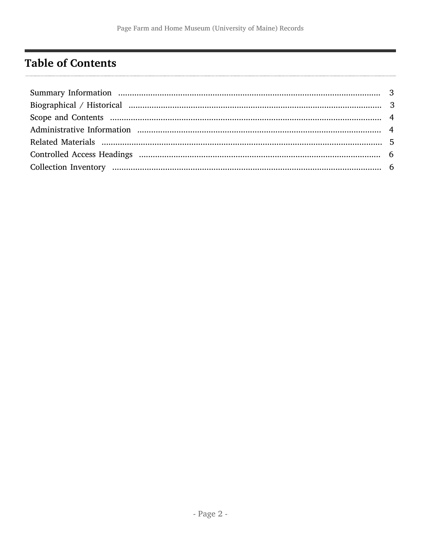## <span id="page-2-0"></span>**Table of Contents**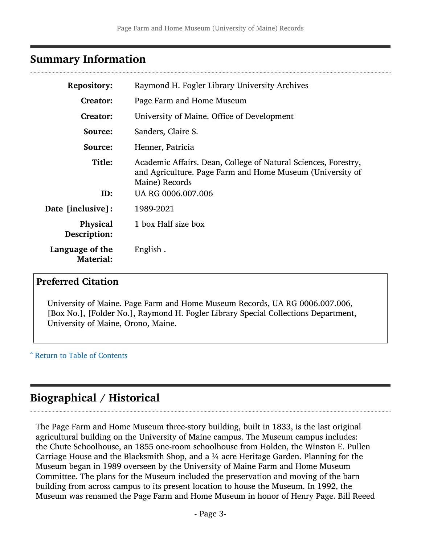#### <span id="page-3-0"></span>Summary Information

| <b>Repository:</b>                  | Raymond H. Fogler Library University Archives                                                                                                                       |
|-------------------------------------|---------------------------------------------------------------------------------------------------------------------------------------------------------------------|
| <b>Creator:</b>                     | Page Farm and Home Museum                                                                                                                                           |
| <b>Creator:</b>                     | University of Maine. Office of Development                                                                                                                          |
| Source:                             | Sanders, Claire S.                                                                                                                                                  |
| Source:                             | Henner, Patricia                                                                                                                                                    |
| Title:<br>ID:                       | Academic Affairs. Dean, College of Natural Sciences, Forestry,<br>and Agriculture. Page Farm and Home Museum (University of<br>Maine) Records<br>UA RG 0006.007.006 |
| Date [inclusive]:                   | 1989-2021                                                                                                                                                           |
| <b>Physical</b><br>Description:     | 1 box Half size box                                                                                                                                                 |
| Language of the<br><b>Material:</b> | English.                                                                                                                                                            |

#### Preferred Citation

University of Maine. Page Farm and Home Museum Records, UA RG 0006.007.006, [Box No.], [Folder No.], Raymond H. Fogler Library Special Collections Department, University of Maine, Orono, Maine.

^ [Return to Table of Contents](#page-2-0)

### <span id="page-3-1"></span>Biographical / Historical

The Page Farm and Home Museum three-story building, built in 1833, is the last original agricultural building on the University of Maine campus. The Museum campus includes: the Chute Schoolhouse, an 1855 one-room schoolhouse from Holden, the Winston E. Pullen Carriage House and the Blacksmith Shop, and a  $\frac{1}{4}$  acre Heritage Garden. Planning for the Museum began in 1989 overseen by the University of Maine Farm and Home Museum Committee. The plans for the Museum included the preservation and moving of the barn building from across campus to its present location to house the Museum. In 1992, the Museum was renamed the Page Farm and Home Museum in honor of Henry Page. Bill Reeed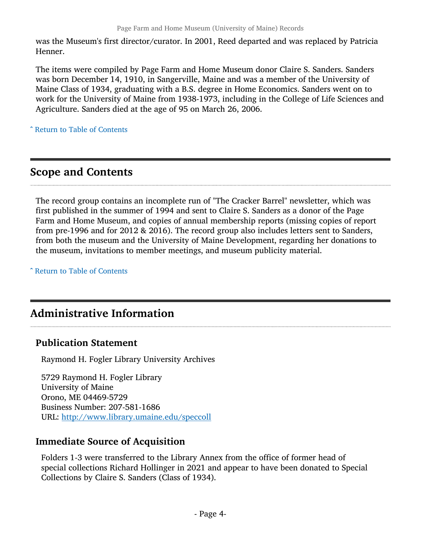was the Museum's first director/curator. In 2001, Reed departed and was replaced by Patricia Henner.

The items were compiled by Page Farm and Home Museum donor Claire S. Sanders. Sanders was born December 14, 1910, in Sangerville, Maine and was a member of the University of Maine Class of 1934, graduating with a B.S. degree in Home Economics. Sanders went on to work for the University of Maine from 1938-1973, including in the College of Life Sciences and Agriculture. Sanders died at the age of 95 on March 26, 2006.

^ [Return to Table of Contents](#page-2-0)

## <span id="page-4-0"></span>Scope and Contents

The record group contains an incomplete run of "The Cracker Barrel" newsletter, which was first published in the summer of 1994 and sent to Claire S. Sanders as a donor of the Page Farm and Home Museum, and copies of annual membership reports (missing copies of report from pre-1996 and for 2012 & 2016). The record group also includes letters sent to Sanders, from both the museum and the University of Maine Development, regarding her donations to the museum, invitations to member meetings, and museum publicity material.

^ [Return to Table of Contents](#page-2-0)

## <span id="page-4-1"></span>Administrative Information

#### Publication Statement

Raymond H. Fogler Library University Archives

5729 Raymond H. Fogler Library University of Maine Orono, ME 04469-5729 Business Number: 207-581-1686 URL: <http://www.library.umaine.edu/speccoll>

#### Immediate Source of Acquisition

Folders 1-3 were transferred to the Library Annex from the office of former head of special collections Richard Hollinger in 2021 and appear to have been donated to Special Collections by Claire S. Sanders (Class of 1934).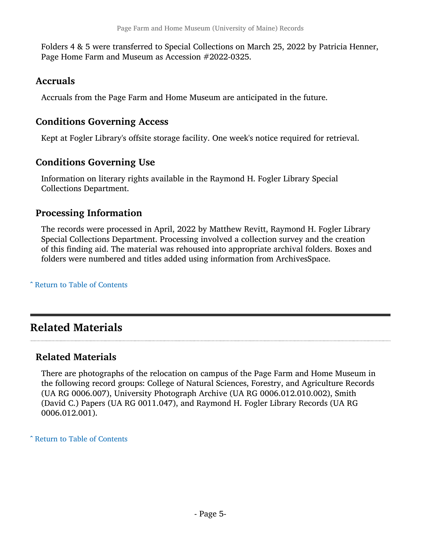Folders 4 & 5 were transferred to Special Collections on March 25, 2022 by Patricia Henner, Page Home Farm and Museum as Accession #2022-0325.

#### Accruals

Accruals from the Page Farm and Home Museum are anticipated in the future.

#### Conditions Governing Access

Kept at Fogler Library's offsite storage facility. One week's notice required for retrieval.

#### Conditions Governing Use

Information on literary rights available in the Raymond H. Fogler Library Special Collections Department.

#### Processing Information

The records were processed in April, 2022 by Matthew Revitt, Raymond H. Fogler Library Special Collections Department. Processing involved a collection survey and the creation of this finding aid. The material was rehoused into appropriate archival folders. Boxes and folders were numbered and titles added using information from ArchivesSpace.

^ [Return to Table of Contents](#page-2-0)

## <span id="page-5-0"></span>Related Materials

#### Related Materials

There are photographs of the relocation on campus of the Page Farm and Home Museum in the following record groups: College of Natural Sciences, Forestry, and Agriculture Records (UA RG 0006.007), University Photograph Archive (UA RG 0006.012.010.002), Smith (David C.) Papers (UA RG 0011.047), and Raymond H. Fogler Library Records (UA RG 0006.012.001).

^ [Return to Table of Contents](#page-2-0)